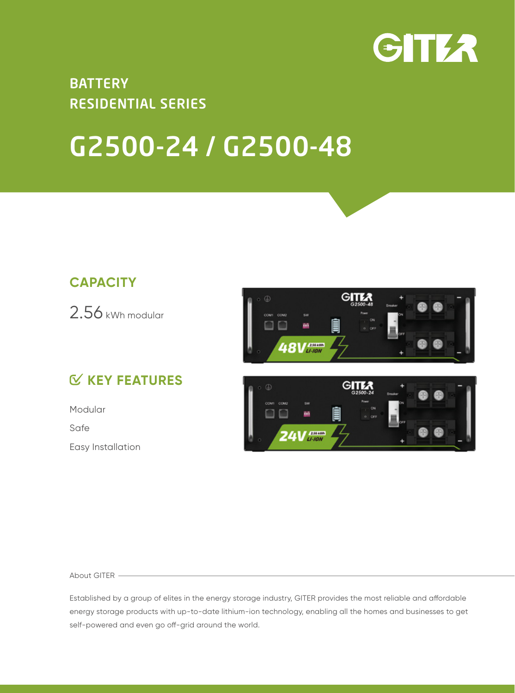

## RESIDENTIAL SERIES **BATTERY**

## G2500-24 / G2500-48

## **CAPACITY**

2.56 kWh modular

## **KEY FEATURES**

Modular Safe Easy Installation





About GITER

Established by a group of elites in the energy storage industry, GITER provides the most reliable and affordable energy storage products with up-to-date lithium-ion technology, enabling all the homes and businesses to get self-powered and even go off-grid around the world.